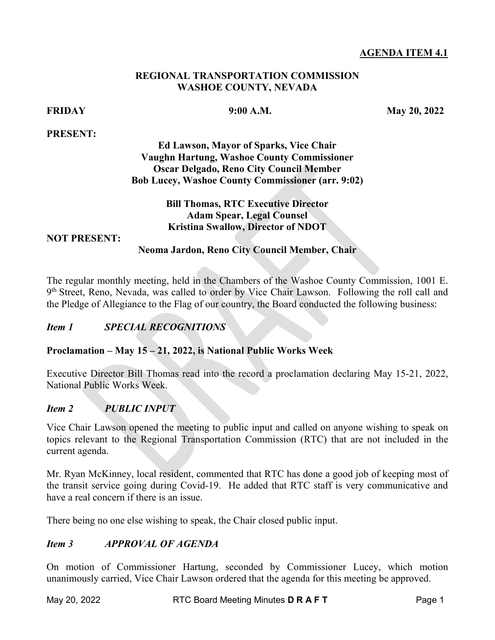### **AGENDA ITEM 4.1**

### **REGIONAL TRANSPORTATION COMMISSION WASHOE COUNTY, NEVADA**

**FRIDAY 9:00 A.M. May 20, 2022** 

#### **PRESENT:**

### **Ed Lawson, Mayor of Sparks, Vice Chair Vaughn Hartung, Washoe County Commissioner Oscar Delgado, Reno City Council Member Bob Lucey, Washoe County Commissioner (arr. 9:02)**

### **Bill Thomas, RTC Executive Director Adam Spear, Legal Counsel Kristina Swallow, Director of NDOT**

#### **NOT PRESENT:**

### **Neoma Jardon, Reno City Council Member, Chair**

9<sup>th</sup> Street, Reno, Nevada, was called to order by Vice Chair Lawson. Following the roll call and The regular monthly meeting, held in the Chambers of the Washoe County Commission, 1001 E. the Pledge of Allegiance to the Flag of our country, the Board conducted the following business:

#### *<i>Item* 1 *ISPECIAL RECOGNITIONS*

### **Proclamation – May 15 – 21, 2022, is National Public Works Week**

 National Public Works Week. Executive Director Bill Thomas read into the record a proclamation declaring May 15-21, 2022,

#### *Item 2 Item 2 PUBLIC INPUT*

Vice Chair Lawson opened the meeting to public input and called on anyone wishing to speak on topics relevant to the Regional Transportation Commission (RTC) that are not included in the current agenda.

Mr. Ryan McKinney, local resident, commented that RTC has done a good job of keeping most of the transit service going during Covid-19. He added that RTC staff is very communicative and have a real concern if there is an issue.

There being no one else wishing to speak, the Chair closed public input.

#### *Item 3 Item 3 APPROVAL OF AGENDA*

On motion of Commissioner Hartung, seconded by Commissioner Lucey, which motion unanimously carried, Vice Chair Lawson ordered that the agenda for this meeting be approved.

May 20, 2022 RTC Board Meeting Minutes **D R A F T** Page 1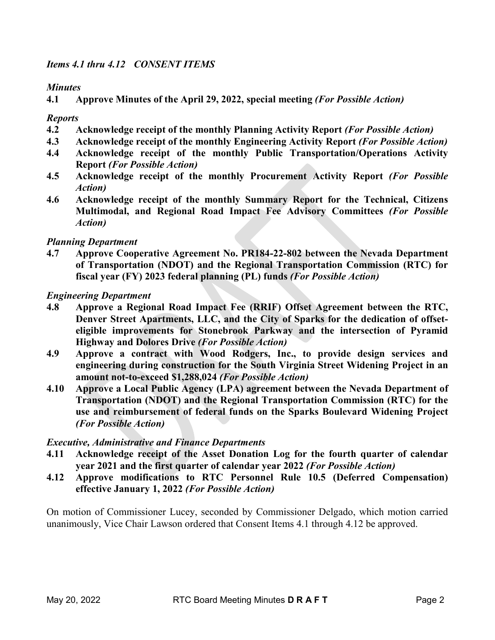# *Items 4.1 thru 4.12 CONSENT ITEMS*

#### *Minutes*

**4.1 Approve Minutes of the April 29, 2022, special meeting** *(For Possible Action)* 

#### *Reports*

- **4.2 Acknowledge receipt of the monthly Planning Activity Report** *(For Possible Action)*
- **4.3 Acknowledge receipt of the monthly Engineering Activity Report** *(For Possible Action)*
- **4.4 Acknowledge receipt of the monthly Public Transportation/Operations Activity Report** *(For Possible Action)*
- **4.5 Acknowledge receipt of the monthly Procurement Activity Report** *(For Possible Action)*
- **4.6 Acknowledge receipt of the monthly Summary Report for the Technical, Citizens Multimodal, and Regional Road Impact Fee Advisory Committees** *(For Possible Action)*

#### *Planning Department*

 **of Transportation (NDOT) and the Regional Transportation Commission (RTC) for 4.7 Approve Cooperative Agreement No. PR184-22-802 between the Nevada Department fiscal year (FY) 2023 federal planning (PL) funds** *(For Possible Action)* 

#### *Engineering Department*

- **Denver Street Apartments, LLC, and the City of Sparks for the dedication of offset- Highway and Dolores Drive** *(For Possible Action)*  **4.8 Approve a Regional Road Impact Fee (RRIF) Offset Agreement between the RTC, eligible improvements for Stonebrook Parkway and the intersection of Pyramid**
- **4.9 Approve a contract with Wood Rodgers, Inc., to provide design services and engineering during construction for the South Virginia Street Widening Project in an amount not-to-exceed \$1,288,024** *(For Possible Action)*
- **4.10 Approve a Local Public Agency (LPA) agreement between the Nevada Department of Transportation (NDOT) and the Regional Transportation Commission (RTC) for the use and reimbursement of federal funds on the Sparks Boulevard Widening Project**  *(For Possible Action)*

#### *Executive, Administrative and Finance Departments*

- **4.11 Acknowledge receipt of the Asset Donation Log for the fourth quarter of calendar year 2021 and the first quarter of calendar year 2022** *(For Possible Action)*
- **4.12 Approve modifications to RTC Personnel Rule 10.5 (Deferred Compensation) effective January 1, 2022** *(For Possible Action)*

 unanimously, Vice Chair Lawson ordered that Consent Items 4.1 through 4.12 be approved. On motion of Commissioner Lucey, seconded by Commissioner Delgado, which motion carried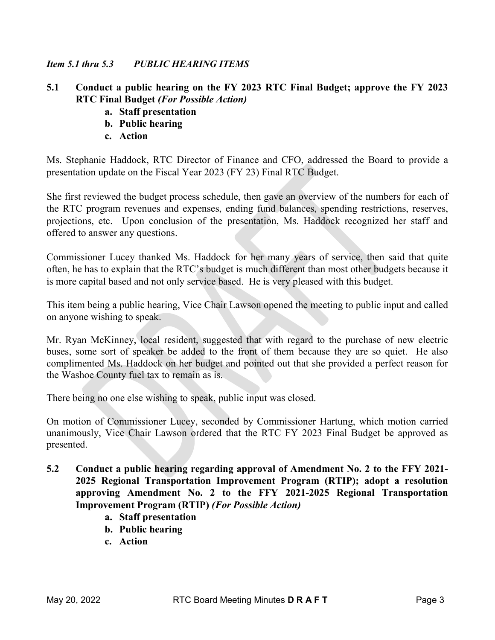#### *Item 5.1 thru 5.3 Item 5.1 thru 5.3 PUBLIC HEARING ITEMS*

# **5.1 Conduct a public hearing on the FY 2023 RTC Final Budget; approve the FY 2023 RTC Final Budget** *(For Possible Action)*

- **a. Staff presentation**
- **b. Public hearing**
- **c. Action**

 presentation update on the Fiscal Year 2023 (FY 23) Final RTC Budget. Ms. Stephanie Haddock, RTC Director of Finance and CFO, addressed the Board to provide a

 She first reviewed the budget process schedule, then gave an overview of the numbers for each of the RTC program revenues and expenses, ending fund balances, spending restrictions, reserves, projections, etc. Upon conclusion of the presentation, Ms. Haddock recognized her staff and offered to answer any questions.

 is more capital based and not only service based. He is very pleased with this budget. Commissioner Lucey thanked Ms. Haddock for her many years of service, then said that quite often, he has to explain that the RTC's budget is much different than most other budgets because it

 This item being a public hearing, Vice Chair Lawson opened the meeting to public input and called on anyone wishing to speak.

 buses, some sort of speaker be added to the front of them because they are so quiet. He also Mr. Ryan McKinney, local resident, suggested that with regard to the purchase of new electric complimented Ms. Haddock on her budget and pointed out that she provided a perfect reason for the Washoe County fuel tax to remain as is.

There being no one else wishing to speak, public input was closed.

On motion of Commissioner Lucey, seconded by Commissioner Hartung, which motion carried unanimously, Vice Chair Lawson ordered that the RTC FY 2023 Final Budget be approved as presented.

- **5.2 Conduct a public hearing regarding approval of Amendment No. 2 to the FFY 2021- 2025 Regional Transportation Improvement Program (RTIP); adopt a resolution approving Amendment No. 2 to the FFY 2021-2025 Regional Transportation Improvement Program (RTIP)** *(For Possible Action)* 
	- **a. Staff presentation**
	- **b. Public hearing**
	- **c. Action**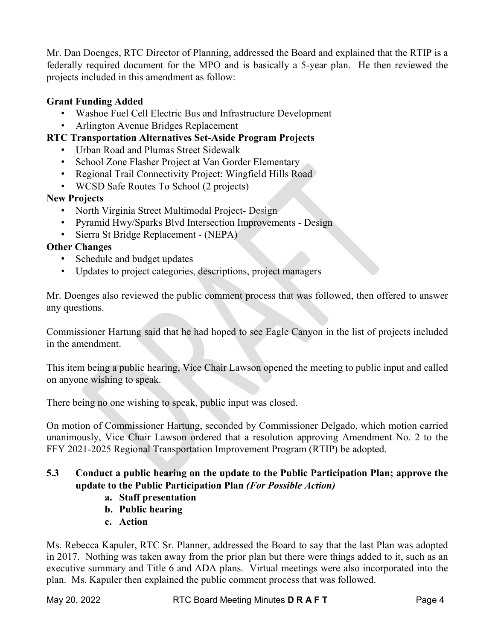projects included in this amendment as follow: Mr. Dan Doenges, RTC Director of Planning, addressed the Board and explained that the RTIP is a federally required document for the MPO and is basically a 5-year plan. He then reviewed the

# **Grant Funding Added**

- Washoe Fuel Cell Electric Bus and Infrastructure Development
- Arlington Avenue Bridges Replacement

# **RTC Transportation Alternatives Set-Aside Program Projects**

- Urban Road and Plumas Street Sidewalk
- School Zone Flasher Project at Van Gorder Elementary
- Regional Trail Connectivity Project: Wingfield Hills Road
- WCSD Safe Routes To School (2 projects)

# **New Projects**

- North Virginia Street Multimodal Project- Design
- Pyramid Hwy/Sparks Blvd Intersection Improvements Design
- Sierra St Bridge Replacement (NEPA)

# **Other Changes**

- Schedule and budget updates
- Updates to project categories, descriptions, project managers

 Mr. Doenges also reviewed the public comment process that was followed, then offered to answer any questions.

 Commissioner Hartung said that he had hoped to see Eagle Canyon in the list of projects included in the amendment.

 This item being a public hearing, Vice Chair Lawson opened the meeting to public input and called on anyone wishing to speak.

There being no one wishing to speak, public input was closed.

On motion of Commissioner Hartung, seconded by Commissioner Delgado, which motion carried unanimously, Vice Chair Lawson ordered that a resolution approving Amendment No. 2 to the FFY 2021-2025 Regional Transportation Improvement Program (RTIP) be adopted.

# **5.3 Conduct a public hearing on the update to the Public Participation Plan; approve the update to the Public Participation Plan** *(For Possible Action)*

- **a. Staff presentation**
- **b. Public hearing**
- **c. Action**

 Ms. Rebecca Kapuler, RTC Sr. Planner, addressed the Board to say that the last Plan was adopted plan. Ms. Kapuler then explained the public comment process that was followed. in 2017. Nothing was taken away from the prior plan but there were things added to it, such as an executive summary and Title 6 and ADA plans. Virtual meetings were also incorporated into the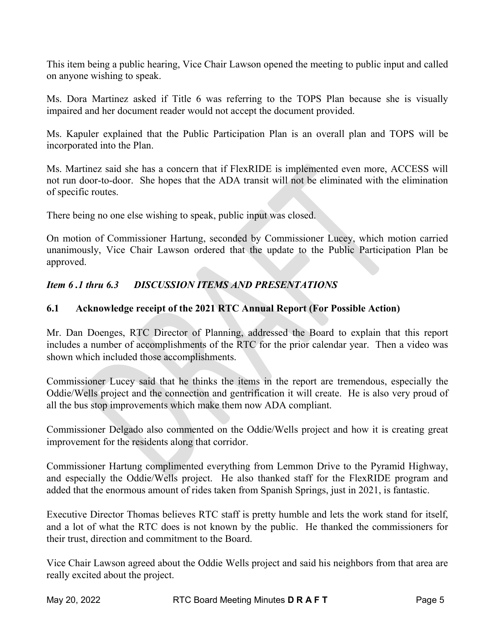This item being a public hearing, Vice Chair Lawson opened the meeting to public input and called on anyone wishing to speak.

Ms. Dora Martinez asked if Title 6 was referring to the TOPS Plan because she is visually impaired and her document reader would not accept the document provided.

Ms. Kapuler explained that the Public Participation Plan is an overall plan and TOPS will be incorporated into the Plan.

 Ms. Martinez said she has a concern that if FlexRIDE is implemented even more, ACCESS will not run door-to-door. She hopes that the ADA transit will not be eliminated with the elimination of specific routes.

There being no one else wishing to speak, public input was closed.

On motion of Commissioner Hartung, seconded by Commissioner Lucey, which motion carried unanimously, Vice Chair Lawson ordered that the update to the Public Participation Plan be approved.

#### *Item 6.1 thru 6.3* **DISCUSSION ITEMS AND PRESENTATIONS**

# **6.1 Acknowledge receipt of the 2021 RTC Annual Report (For Possible Action)**

 includes a number of accomplishments of the RTC for the prior calendar year. Then a video was Mr. Dan Doenges, RTC Director of Planning, addressed the Board to explain that this report shown which included those accomplishments.

 Commissioner Lucey said that he thinks the items in the report are tremendous, especially the all the bus stop improvements which make them now ADA compliant. Oddie/Wells project and the connection and gentrification it will create. He is also very proud of

Commissioner Delgado also commented on the Oddie/Wells project and how it is creating great improvement for the residents along that corridor.

 added that the enormous amount of rides taken from Spanish Springs, just in 2021, is fantastic. Commissioner Hartung complimented everything from Lemmon Drive to the Pyramid Highway, and especially the Oddie/Wells project. He also thanked staff for the FlexRIDE program and

 their trust, direction and commitment to the Board. Executive Director Thomas believes RTC staff is pretty humble and lets the work stand for itself, and a lot of what the RTC does is not known by the public. He thanked the commissioners for

 Vice Chair Lawson agreed about the Oddie Wells project and said his neighbors from that area are really excited about the project.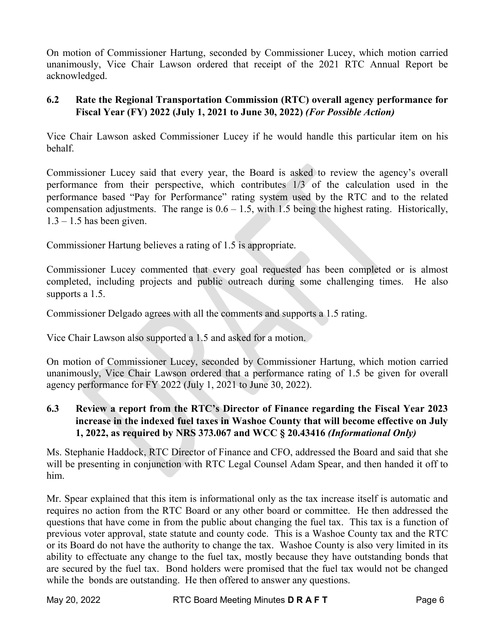On motion of Commissioner Hartung, seconded by Commissioner Lucey, which motion carried unanimously, Vice Chair Lawson ordered that receipt of the 2021 RTC Annual Report be acknowledged.

# **Fiscal Year (FY) 2022 (July 1, 2021 to June 30, 2022)** *(For Possible Action)*  **6.2 Rate the Regional Transportation Commission (RTC) overall agency performance for**

Vice Chair Lawson asked Commissioner Lucey if he would handle this particular item on his behalf.

 Commissioner Lucey said that every year, the Board is asked to review the agency's overall performance based "Pay for Performance" rating system used by the RTC and to the related compensation adjustments. The range is  $0.6 - 1.5$ , with 1.5 being the highest rating. Historically, performance from their perspective, which contributes 1/3 of the calculation used in the  $1.3 - 1.5$  has been given.

Commissioner Hartung believes a rating of 1.5 is appropriate.

 completed, including projects and public outreach during some challenging times. He also Commissioner Lucey commented that every goal requested has been completed or is almost supports a 1.5.

Commissioner Delgado agrees with all the comments and supports a 1.5 rating.

Vice Chair Lawson also supported a 1.5 and asked for a motion.

 agency performance for FY 2022 (July 1, 2021 to June 30, 2022). On motion of Commissioner Lucey, seconded by Commissioner Hartung, which motion carried unanimously, Vice Chair Lawson ordered that a performance rating of 1.5 be given for overall

# **6.3 Review a report from the RTC's Director of Finance regarding the Fiscal Year 2023 increase in the indexed fuel taxes in Washoe County that will become effective on July 1, 2022, as required by NRS 373.067 and WCC § 20.43416** *(Informational Only)*

 will be presenting in conjunction with RTC Legal Counsel Adam Spear, and then handed it off to Ms. Stephanie Haddock, RTC Director of Finance and CFO, addressed the Board and said that she him.

 questions that have come in from the public about changing the fuel tax. This tax is a function of previous voter approval, state statute and county code. This is a Washoe County tax and the RTC or its Board do not have the authority to change the tax. Washoe County is also very limited in its ability to effectuate any change to the fuel tax, mostly because they have outstanding bonds that are secured by the fuel tax. Bond holders were promised that the fuel tax would not be changed Mr. Spear explained that this item is informational only as the tax increase itself is automatic and requires no action from the RTC Board or any other board or committee. He then addressed the while the bonds are outstanding. He then offered to answer any questions.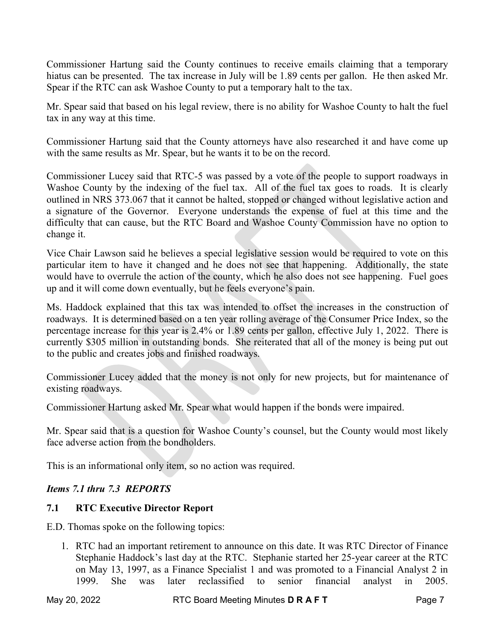Commissioner Hartung said the County continues to receive emails claiming that a temporary Spear if the RTC can ask Washoe County to put a temporary halt to the tax. hiatus can be presented. The tax increase in July will be 1.89 cents per gallon. He then asked Mr.

 Mr. Spear said that based on his legal review, there is no ability for Washoe County to halt the fuel tax in any way at this time.

 Commissioner Hartung said that the County attorneys have also researched it and have come up with the same results as Mr. Spear, but he wants it to be on the record.

 Washoe County by the indexing of the fuel tax. All of the fuel tax goes to roads. It is clearly a signature of the Governor. Everyone understands the expense of fuel at this time and the Commissioner Lucey said that RTC-5 was passed by a vote of the people to support roadways in outlined in NRS 373.067 that it cannot be halted, stopped or changed without legislative action and difficulty that can cause, but the RTC Board and Washoe County Commission have no option to change it.

 particular item to have it changed and he does not see that happening. Additionally, the state would have to overrule the action of the county, which he also does not see happening. Fuel goes Vice Chair Lawson said he believes a special legislative session would be required to vote on this up and it will come down eventually, but he feels everyone's pain.

 Ms. Haddock explained that this tax was intended to offset the increases in the construction of percentage increase for this year is 2.4% or 1.89 cents per gallon, effective July 1, 2022. There is currently \$305 million in outstanding bonds. She reiterated that all of the money is being put out roadways. It is determined based on a ten year rolling average of the Consumer Price Index, so the to the public and creates jobs and finished roadways.

Commissioner Lucey added that the money is not only for new projects, but for maintenance of existing roadways.

Commissioner Hartung asked Mr. Spear what would happen if the bonds were impaired.

Mr. Spear said that is a question for Washoe County's counsel, but the County would most likely face adverse action from the bondholders.

This is an informational only item, so no action was required.

# *Items 7.1 thru 7.3 REPORTS*

# **7.1 RTC Executive Director Report**

E.D. Thomas spoke on the following topics:

 1. RTC had an important retirement to announce on this date. It was RTC Director of Finance Stephanie Haddock's last day at the RTC. Stephanie started her 25-year career at the RTC on May 13, 1997, as a Finance Specialist 1 and was promoted to a Financial Analyst 2 in 1999. She was later reclassified to senior financial analyst in 2005.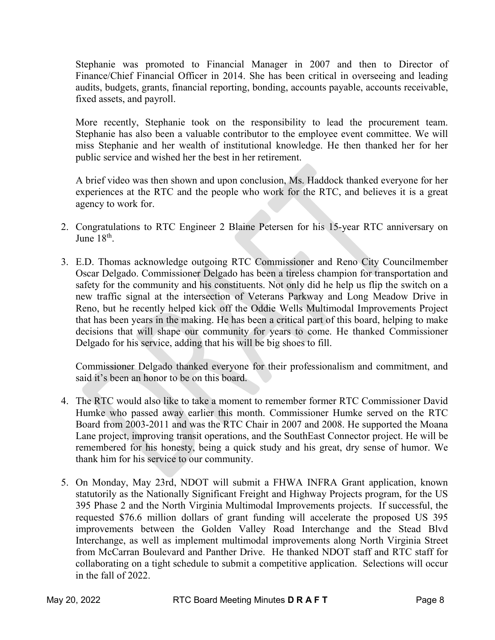Stephanie was promoted to Financial Manager in 2007 and then to Director of Finance/Chief Financial Officer in 2014. She has been critical in overseeing and leading audits, budgets, grants, financial reporting, bonding, accounts payable, accounts receivable, fixed assets, and payroll.

 Stephanie has also been a valuable contributor to the employee event committee. We will miss Stephanie and her wealth of institutional knowledge. He then thanked her for her public service and wished her the best in her retirement. More recently, Stephanie took on the responsibility to lead the procurement team.

A brief video was then shown and upon conclusion, Ms. Haddock thanked everyone for her experiences at the RTC and the people who work for the RTC, and believes it is a great agency to work for.

- 2. Congratulations to RTC Engineer 2 Blaine Petersen for his 15-year RTC anniversary on June  $18<sup>th</sup>$ .
- safety for the community and his constituents. Not only did he help us flip the switch on a new traffic signal at the intersection of Veterans Parkway and Long Meadow Drive in 3. E.D. Thomas acknowledge outgoing RTC Commissioner and Reno City Councilmember Oscar Delgado. Commissioner Delgado has been a tireless champion for transportation and Reno, but he recently helped kick off the Oddie Wells Multimodal Improvements Project that has been years in the making. He has been a critical part of this board, helping to make decisions that will shape our community for years to come. He thanked Commissioner Delgado for his service, adding that his will be big shoes to fill.

Commissioner Delgado thanked everyone for their professionalism and commitment, and said it's been an honor to be on this board.

- Humke who passed away earlier this month. Commissioner Humke served on the RTC Board from 2003-2011 and was the RTC Chair in 2007 and 2008. He supported the Moana 4. The RTC would also like to take a moment to remember former RTC Commissioner David Lane project, improving transit operations, and the SouthEast Connector project. He will be remembered for his honesty, being a quick study and his great, dry sense of humor. We thank him for his service to our community.
- 5. On Monday, May 23rd, NDOT will submit a FHWA INFRA Grant application, known 395 Phase 2 and the North Virginia Multimodal Improvements projects. If successful, the improvements between the Golden Valley Road Interchange and the Stead Blvd from McCarran Boulevard and Panther Drive. He thanked NDOT staff and RTC staff for statutorily as the Nationally Significant Freight and Highway Projects program, for the US requested \$76.6 million dollars of grant funding will accelerate the proposed US 395 Interchange, as well as implement multimodal improvements along North Virginia Street collaborating on a tight schedule to submit a competitive application. Selections will occur in the fall of 2022.